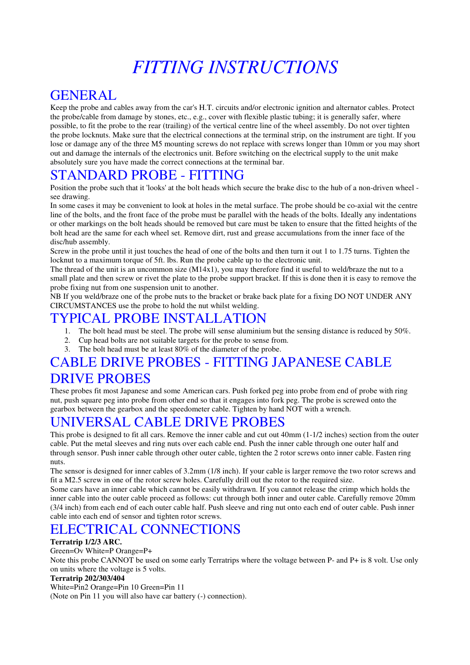# *FITTING INSTRUCTIONS*

### GENERAL

Keep the probe and cables away from the car's H.T. circuits and/or electronic ignition and alternator cables. Protect the probe/cable from damage by stones, etc., e.g., cover with flexible plastic tubing; it is generally safer, where possible, to fit the probe to the rear (trailing) of the vertical centre line of the wheel assembly. Do not over tighten the probe locknuts. Make sure that the electrical connections at the terminal strip, on the instrument are tight. If you lose or damage any of the three M5 mounting screws do not replace with screws longer than 10mm or you may short out and damage the internals of the electronics unit. Before switching on the electrical supply to the unit make absolutely sure you have made the correct connections at the terminal bar.

### STANDARD PROBE - FITTING

Position the probe such that it 'looks' at the bolt heads which secure the brake disc to the hub of a non-driven wheel see drawing.

In some cases it may be convenient to look at holes in the metal surface. The probe should be co-axial wit the centre line of the bolts, and the front face of the probe must be parallel with the heads of the bolts. Ideally any indentations or other markings on the bolt heads should be removed but care must be taken to ensure that the fitted heights of the bolt head are the same for each wheel set. Remove dirt, rust and grease accumulations from the inner face of the disc/hub assembly.

Screw in the probe until it just touches the head of one of the bolts and then turn it out 1 to 1.75 turns. Tighten the locknut to a maximum torque of 5ft. lbs. Run the probe cable up to the electronic unit.

The thread of the unit is an uncommon size (M14x1), you may therefore find it useful to weld/braze the nut to a small plate and then screw or rivet the plate to the probe support bracket. If this is done then it is easy to remove the probe fixing nut from one suspension unit to another.

NB If you weld/braze one of the probe nuts to the bracket or brake back plate for a fixing DO NOT UNDER ANY CIRCUMSTANCES use the probe to hold the nut whilst welding.

### TYPICAL PROBE INSTALLATION

- 1. The bolt head must be steel. The probe will sense aluminium but the sensing distance is reduced by 50%.
- 2. Cup head bolts are not suitable targets for the probe to sense from.
- 3. The bolt head must be at least 80% of the diameter of the probe.

### CABLE DRIVE PROBES - FITTING JAPANESE CABLE DRIVE PROBES

These probes fit most Japanese and some American cars. Push forked peg into probe from end of probe with ring nut, push square peg into probe from other end so that it engages into fork peg. The probe is screwed onto the gearbox between the gearbox and the speedometer cable. Tighten by hand NOT with a wrench.

### UNIVERSAL CABLE DRIVE PROBES

This probe is designed to fit all cars. Remove the inner cable and cut out 40mm (1-1/2 inches) section from the outer cable. Put the metal sleeves and ring nuts over each cable end. Push the inner cable through one outer half and through sensor. Push inner cable through other outer cable, tighten the 2 rotor screws onto inner cable. Fasten ring nuts.

The sensor is designed for inner cables of 3.2mm (1/8 inch). If your cable is larger remove the two rotor screws and fit a M2.5 screw in one of the rotor screw holes. Carefully drill out the rotor to the required size.

Some cars have an inner cable which cannot be easily withdrawn. If you cannot release the crimp which holds the inner cable into the outer cable proceed as follows: cut through both inner and outer cable. Carefully remove 20mm (3/4 inch) from each end of each outer cable half. Push sleeve and ring nut onto each end of outer cable. Push inner cable into each end of sensor and tighten rotor screws.

# ELECTRICAL CONNECTIONS

#### **Terratrip 1/2/3 ARC.**

#### Green=Ov White=P Orange=P+

Note this probe CANNOT be used on some early Terratrips where the voltage between P- and P+ is 8 volt. Use only on units where the voltage is 5 volts.

#### **Terratrip 202/303/404**

White=Pin2 Orange=Pin 10 Green=Pin 11

(Note on Pin 11 you will also have car battery (-) connection).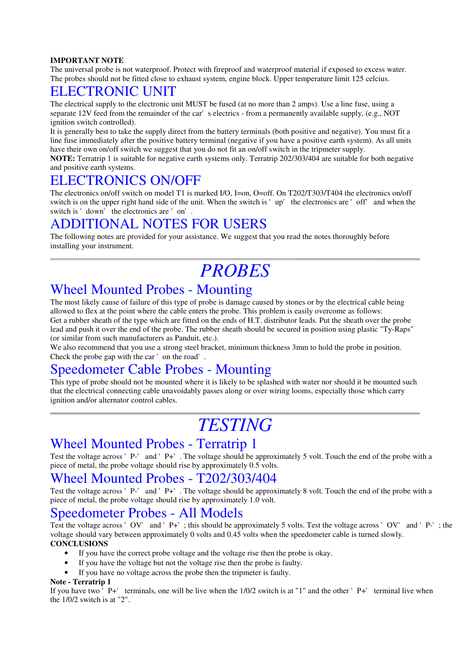#### **IMPORTANT NOTE**

The universal probe is not waterproof. Protect with fireproof and waterproof material if exposed to excess water. The probes should not be fitted close to exhaust system, engine block. Upper temperature limit 125 celcius.

### ELECTRONIC UNIT

The electrical supply to the electronic unit MUST be fused (at no more than 2 amps). Use a line fuse, using a separate 12V feed from the remainder of the car's electrics - from a permanently available supply, (e.g., NOT ignition switch controlled).

It is generally best to take the supply direct from the battery terminals (both positive and negative). You must fit a line fuse immediately after the positive battery terminal (negative if you have a positive earth system). As all units have their own on/off switch we suggest that you do not fit an on/off switch in the tripmeter supply.

**NOTE:** Terratrip 1 is suitable for negative earth systems only. Terratrip 202/303/404 are suitable for both negative and positive earth systems.

### ELECTRONICS ON/OFF

The electronics on/off switch on model T1 is marked I/O, I=on, O=off. On T202/T303/T404 the electronics on/off switch is on the upper right hand side of the unit. When the switch is 'up' the electronics are 'off' and when the switch is 'down' the electronics are 'on'.

### ADDITIONAL NOTES FOR USERS

The following notes are provided for your assistance. We suggest that you read the notes thoroughly before installing your instrument.

# *PROBES*

### Wheel Mounted Probes - Mounting

The most likely cause of failure of this type of probe is damage caused by stones or by the electrical cable being allowed to flex at the point where the cable enters the probe. This problem is easily overcome as follows: Get a rubber sheath of the type which are fitted on the ends of H.T. distributor leads. Put the sheath over the probe lead and push it over the end of the probe. The rubber sheath should be secured in position using plastic "Ty-Raps" (or similar from such manufacturers as Panduit, etc.).

We also recommend that you use a strong steel bracket, minimum thickness 3mm to hold the probe in position. Check the probe gap with the car' on the road'.

### Speedometer Cable Probes - Mounting

This type of probe should not be mounted where it is likely to be splashed with water nor should it be mounted such that the electrical connecting cable unavoidably passes along or over wiring looms, especially those which carry ignition and/or alternator control cables.

# *TESTING*

### Wheel Mounted Probes - Terratrip 1

Test the voltage across 'P-' and 'P+'. The voltage should be approximately 5 volt. Touch the end of the probe with a piece of metal, the probe voltage should rise by approximately 0.5 volts.

### Wheel Mounted Probes - T202/303/404

Test the voltage across 'P-' and 'P+'. The voltage should be approximately 8 volt. Touch the end of the probe with a piece of metal, the probe voltage should rise by approximately 1.0 volt.

### Speedometer Probes - All Models

Test the voltage across 'OV' and 'P+'; this should be approximately 5 volts. Test the voltage across 'OV' and 'P-'; the voltage should vary between approximately 0 volts and 0.45 volts when the speedometer cable is turned slowly. **CONCLUSIONS**

- If you have the correct probe voltage and the voltage rise then the probe is okay.
- If you have the voltage but not the voltage rise then the probe is faulty.
- If you have no voltage across the probe then the tripmeter is faulty.

#### **Note - Terratrip 1**

If you have two  $\overline{P}$  P+' terminals, one will be live when the 1/0/2 switch is at "1" and the other 'P+' terminal live when the 1/0/2 switch is at "2".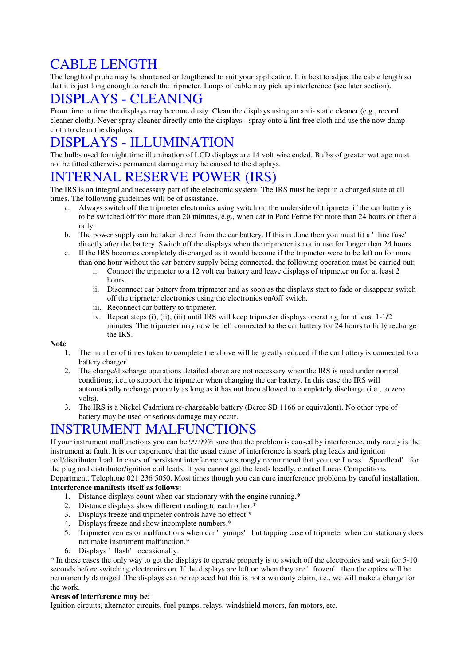# CABLE LENGTH

The length of probe may be shortened or lengthened to suit your application. It is best to adjust the cable length so that it is just long enough to reach the tripmeter. Loops of cable may pick up interference (see later section).

# DISPLAYS - CLEANING

From time to time the displays may become dusty. Clean the displays using an anti- static cleaner (e.g., record cleaner cloth). Never spray cleaner directly onto the displays - spray onto a lint-free cloth and use the now damp cloth to clean the displays.

# DISPLAYS - ILLUMINATION

The bulbs used for night time illumination of LCD displays are 14 volt wire ended. Bulbs of greater wattage must not be fitted otherwise permanent damage may be caused to the displays.

## INTERNAL RESERVE POWER (IRS)

The IRS is an integral and necessary part of the electronic system. The IRS must be kept in a charged state at all times. The following guidelines will be of assistance.

- a. Always switch off the tripmeter electronics using switch on the underside of tripmeter if the car battery is to be switched off for more than 20 minutes, e.g., when car in Parc Ferme for more than 24 hours or after a rally.
- b. The power supply can be taken direct from the car battery. If this is done then you must fit a 'line fuse' directly after the battery. Switch off the displays when the tripmeter is not in use for longer than 24 hours.
- c. If the IRS becomes completely discharged as it would become if the tripmeter were to be left on for more than one hour without the car battery supply being connected, the following operation must be carried out:
	- i. Connect the tripmeter to a 12 volt car battery and leave displays of tripmeter on for at least 2 hours.
	- ii. Disconnect car battery from tripmeter and as soon as the displays start to fade or disappear switch off the tripmeter electronics using the electronics on/off switch.
	- iii. Reconnect car battery to tripmeter.
	- iv. Repeat steps (i), (ii), (iii) until IRS will keep tripmeter displays operating for at least 1-1/2 minutes. The tripmeter may now be left connected to the car battery for 24 hours to fully recharge the IRS.

#### **Note**

- 1. The number of times taken to complete the above will be greatly reduced if the car battery is connected to a battery charger.
- 2. The charge/discharge operations detailed above are not necessary when the IRS is used under normal conditions, i.e., to support the tripmeter when changing the car battery. In this case the IRS will automatically recharge properly as long as it has not been allowed to completely discharge (i.e., to zero volts).
- 3. The IRS is a Nickel Cadmium re-chargeable battery (Berec SB 1166 or equivalent). No other type of battery may be used or serious damage may occur.

### INSTRUMENT MALFUNCTIONS

If your instrument malfunctions you can be 99.99% sure that the problem is caused by interference, only rarely is the instrument at fault. It is our experience that the usual cause of interference is spark plug leads and ignition coil/distributor lead. In cases of persistent interference we strongly recommend that you use Lucas 'Speedlead' for the plug and distributor/ignition coil leads. If you cannot get the leads locally, contact Lucas Competitions Department. Telephone 021 236 5050. Most times though you can cure interference problems by careful installation. **Interference manifests itself as follows:**

### 1. Distance displays count when car stationary with the engine running.\*

- 
- 2. Distance displays show different reading to each other.\*
- 3. Displays freeze and tripmeter controls have no effect.\* 4. Displays freeze and show incomplete numbers.\*
- 5. Tripmeter zeroes or malfunctions when car 'yumps' but tapping case of tripmeter when car stationary does not make instrument malfunction.\*
- 6. Displays 'flash' occasionally.

\* In these cases the only way to get the displays to operate properly is to switch off the electronics and wait for 5-10 seconds before switching electronics on. If the displays are left on when they are 'frozen' then the optics will be permanently damaged. The displays can be replaced but this is not a warranty claim, i.e., we will make a charge for the work.

#### **Areas of interference may be:**

Ignition circuits, alternator circuits, fuel pumps, relays, windshield motors, fan motors, etc.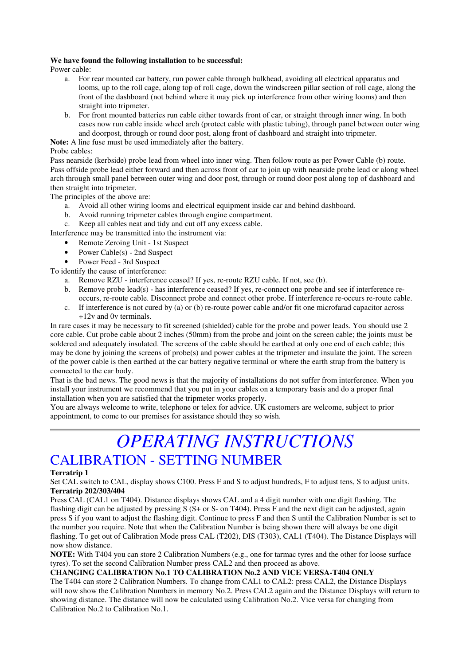#### **We have found the following installation to be successful:**

Power cable:

- a. For rear mounted car battery, run power cable through bulkhead, avoiding all electrical apparatus and looms, up to the roll cage, along top of roll cage, down the windscreen pillar section of roll cage, along the front of the dashboard (not behind where it may pick up interference from other wiring looms) and then straight into tripmeter.
- b. For front mounted batteries run cable either towards front of car, or straight through inner wing. In both cases now run cable inside wheel arch (protect cable with plastic tubing), through panel between outer wing and doorpost, through or round door post, along front of dashboard and straight into tripmeter.

**Note:** A line fuse must be used immediately after the battery.

#### Probe cables:

Pass nearside (kerbside) probe lead from wheel into inner wing. Then follow route as per Power Cable (b) route. Pass offside probe lead either forward and then across front of car to join up with nearside probe lead or along wheel arch through small panel between outer wing and door post, through or round door post along top of dashboard and then straight into tripmeter.

The principles of the above are:

- a. Avoid all other wiring looms and electrical equipment inside car and behind dashboard.
- b. Avoid running tripmeter cables through engine compartment.

c. Keep all cables neat and tidy and cut off any excess cable.

Interference may be transmitted into the instrument via:

- Remote Zeroing Unit 1st Suspect
- Power Cable(s) 2nd Suspect
- Power Feed 3rd Suspect

To identify the cause of interference:

- a. Remove RZU interference ceased? If yes, re-route RZU cable. If not, see (b).
- b. Remove probe lead(s) has interference ceased? If yes, re-connect one probe and see if interference reoccurs, re-route cable. Disconnect probe and connect other probe. If interference re-occurs re-route cable.
- c. If interference is not cured by (a) or (b) re-route power cable and/or fit one microfarad capacitor across +12v and 0v terminals.

In rare cases it may be necessary to fit screened (shielded) cable for the probe and power leads. You should use 2 core cable. Cut probe cable about 2 inches (50mm) from the probe and joint on the screen cable; the joints must be soldered and adequately insulated. The screens of the cable should be earthed at only one end of each cable; this may be done by joining the screens of probe(s) and power cables at the tripmeter and insulate the joint. The screen of the power cable is then earthed at the car battery negative terminal or where the earth strap from the battery is connected to the car body.

That is the bad news. The good news is that the majority of installations do not suffer from interference. When you install your instrument we recommend that you put in your cables on a temporary basis and do a proper final installation when you are satisfied that the tripmeter works properly.

You are always welcome to write, telephone or telex for advice. UK customers are welcome, subject to prior appointment, to come to our premises for assistance should they so wish.

# *OPERATING INSTRUCTIONS* CALIBRATION - SETTING NUMBER

#### **Terratrip 1**

Set CAL switch to CAL, display shows C100. Press F and S to adjust hundreds, F to adjust tens, S to adjust units. **Terratrip 202/303/404**

Press CAL (CAL1 on T404). Distance displays shows CAL and a 4 digit number with one digit flashing. The flashing digit can be adjusted by pressing  $S(S+$  or S- on T404). Press F and the next digit can be adjusted, again press S if you want to adjust the flashing digit. Continue to press F and then S until the Calibration Number is set to the number you require. Note that when the Calibration Number is being shown there will always be one digit flashing. To get out of Calibration Mode press CAL (T202), DIS (T303), CAL1 (T404). The Distance Displays will now show distance.

**NOTE:** With T404 you can store 2 Calibration Numbers (e.g., one for tarmac tyres and the other for loose surface tyres). To set the second Calibration Number press CAL2 and then proceed as above.

#### **CHANGING CALIBRATION No.1 TO CALIBRATION No.2 AND VICE VERSA-T404 ONLY**

The T404 can store 2 Calibration Numbers. To change from CAL1 to CAL2: press CAL2, the Distance Displays will now show the Calibration Numbers in memory No.2. Press CAL2 again and the Distance Displays will return to showing distance. The distance will now be calculated using Calibration No.2. Vice versa for changing from Calibration No.2 to Calibration No.1.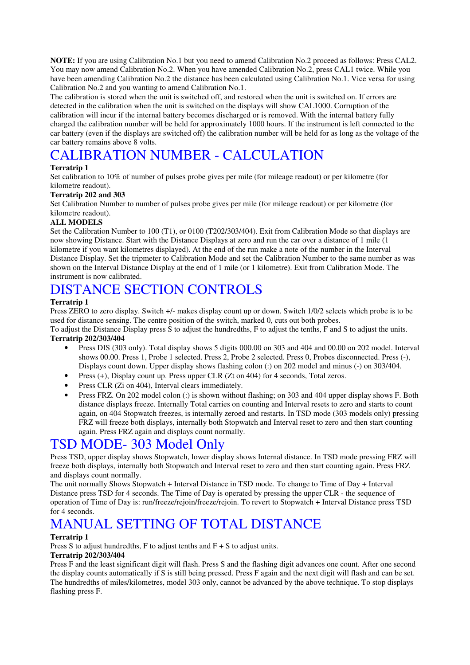**NOTE:** If you are using Calibration No.1 but you need to amend Calibration No.2 proceed as follows: Press CAL2. You may now amend Calibration No.2. When you have amended Calibration No.2, press CAL1 twice. While you have been amending Calibration No.2 the distance has been calculated using Calibration No.1. Vice versa for using Calibration No.2 and you wanting to amend Calibration No.1.

The calibration is stored when the unit is switched off, and restored when the unit is switched on. If errors are detected in the calibration when the unit is switched on the displays will show CAL1000. Corruption of the calibration will incur if the internal battery becomes discharged or is removed. With the internal battery fully charged the calibration number will be held for approximately 1000 hours. If the instrument is left connected to the car battery (even if the displays are switched off) the calibration number will be held for as long as the voltage of the car battery remains above 8 volts.

# CALIBRATION NUMBER - CALCULATION

#### **Terratrip 1**

Set calibration to 10% of number of pulses probe gives per mile (for mileage readout) or per kilometre (for kilometre readout).

#### **Terratrip 202 and 303**

Set Calibration Number to number of pulses probe gives per mile (for mileage readout) or per kilometre (for kilometre readout).

#### **ALL MODELS**

Set the Calibration Number to 100 (T1), or 0100 (T202/303/404). Exit from Calibration Mode so that displays are now showing Distance. Start with the Distance Displays at zero and run the car over a distance of 1 mile (1 kilometre if you want kilometres displayed). At the end of the run make a note of the number in the Interval Distance Display. Set the tripmeter to Calibration Mode and set the Calibration Number to the same number as was shown on the Interval Distance Display at the end of 1 mile (or 1 kilometre). Exit from Calibration Mode. The instrument is now calibrated.

### DISTANCE SECTION CONTROLS

#### **Terratrip 1**

Press ZERO to zero display. Switch +/- makes display count up or down. Switch 1/0/2 selects which probe is to be used for distance sensing. The centre position of the switch, marked 0, cuts out both probes.

To adjust the Distance Display press S to adjust the hundredths, F to adjust the tenths, F and S to adjust the units. **Terratrip 202/303/404**

- Press DIS (303 only). Total display shows 5 digits 000.00 on 303 and 404 and 00.00 on 202 model. Interval shows 00.00. Press 1, Probe 1 selected. Press 2, Probe 2 selected. Press 0, Probes disconnected. Press (-), Displays count down. Upper display shows flashing colon (:) on 202 model and minus (-) on 303/404.
- Press (+), Display count up. Press upper CLR (Zt on 404) for 4 seconds, Total zeros.
- Press CLR (Zi on 404), Interval clears immediately.
- Press FRZ. On 202 model colon (:) is shown without flashing; on 303 and 404 upper display shows F. Both distance displays freeze. Internally Total carries on counting and Interval resets to zero and starts to count again, on 404 Stopwatch freezes, is internally zeroed and restarts. In TSD mode (303 models only) pressing FRZ will freeze both displays, internally both Stopwatch and Interval reset to zero and then start counting again. Press FRZ again and displays count normally.

### TSD MODE- 303 Model Only

Press TSD, upper display shows Stopwatch, lower display shows Internal distance. In TSD mode pressing FRZ will freeze both displays, internally both Stopwatch and Interval reset to zero and then start counting again. Press FRZ and displays count normally.

The unit normally Shows Stopwatch + Interval Distance in TSD mode. To change to Time of Day + Interval Distance press TSD for 4 seconds. The Time of Day is operated by pressing the upper CLR - the sequence of operation of Time of Day is: run/freeze/rejoin/freeze/rejoin. To revert to Stopwatch + Interval Distance press TSD for 4 seconds.

# MANUAL SETTING OF TOTAL DISTANCE

#### **Terratrip 1**

Press S to adjust hundredths, F to adjust tenths and  $F + S$  to adjust units.

#### **Terratrip 202/303/404**

Press F and the least significant digit will flash. Press S and the flashing digit advances one count. After one second the display counts automatically if S is still being pressed. Press F again and the next digit will flash and can be set. The hundredths of miles/kilometres, model 303 only, cannot be advanced by the above technique. To stop displays flashing press F.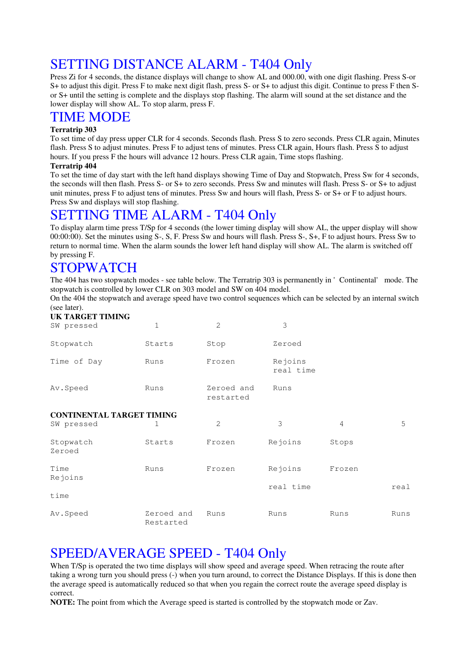# SETTING DISTANCE ALARM - T404 Only

Press Zi for 4 seconds, the distance displays will change to show AL and 000.00, with one digit flashing. Press S-or S+ to adjust this digit. Press F to make next digit flash, press S- or S+ to adjust this digit. Continue to press F then Sor S+ until the setting is complete and the displays stop flashing. The alarm will sound at the set distance and the lower display will show AL. To stop alarm, press F.

### TIME MODE

#### **Terratrip 303**

To set time of day press upper CLR for 4 seconds. Seconds flash. Press S to zero seconds. Press CLR again, Minutes flash. Press S to adjust minutes. Press F to adjust tens of minutes. Press CLR again, Hours flash. Press S to adjust hours. If you press F the hours will advance 12 hours. Press CLR again, Time stops flashing.

#### **Terratrip 404**

To set the time of day start with the left hand displays showing Time of Day and Stopwatch, Press Sw for 4 seconds, the seconds will then flash. Press S- or S+ to zero seconds. Press Sw and minutes will flash. Press S- or S+ to adjust unit minutes, press F to adjust tens of minutes. Press Sw and hours will flash, Press S- or S+ or F to adjust hours. Press Sw and displays will stop flashing.

### SETTING TIME ALARM - T404 Only

To display alarm time press T/Sp for 4 seconds (the lower timing display will show AL, the upper display will show 00:00:00). Set the minutes using S-, S, F. Press Sw and hours will flash. Press S-, S+, F to adjust hours. Press Sw to return to normal time. When the alarm sounds the lower left hand display will show AL. The alarm is switched off by pressing F.

## STOPWATCH

The 404 has two stopwatch modes - see table below. The Terratrip 303 is permanently in 'Continental' mode. The stopwatch is controlled by lower CLR on 303 model and SW on 404 model.

On the 404 the stopwatch and average speed have two control sequences which can be selected by an internal switch (see later).

#### **UK TARGET TIMING**

| SW pressed                       | 1      | $\mathfrak{D}$          | 3                    |       |   |  |  |  |
|----------------------------------|--------|-------------------------|----------------------|-------|---|--|--|--|
| Stopwatch                        | Starts | Stop                    | Zeroed               |       |   |  |  |  |
| Time of Day                      | Runs   | Frozen                  | Rejoins<br>real time |       |   |  |  |  |
| Av. Speed                        | Runs   | Zeroed and<br>restarted | Runs                 |       |   |  |  |  |
| <b>CONTINENTAL TARGET TIMING</b> |        |                         |                      |       |   |  |  |  |
| SW pressed                       | 1      | $\overline{2}$          | 3                    | 4     | 5 |  |  |  |
| Stopwatch<br>Zeroed              | Starts | Frozen                  | Rejoins              | Stops |   |  |  |  |
| $-1$                             |        |                         | — <u>—</u>           |       |   |  |  |  |

| Time     | Runs                    | Frozen | Rejoins   | Frozen |      |
|----------|-------------------------|--------|-----------|--------|------|
| Rejoins  |                         |        |           |        |      |
|          |                         |        | real time |        | real |
| time     |                         |        |           |        |      |
| Av.Speed | Zeroed and<br>Restarted | Runs   | Runs      | Runs   | Runs |

### SPEED/AVERAGE SPEED - T404 Only

When T/Sp is operated the two time displays will show speed and average speed. When retracing the route after taking a wrong turn you should press (-) when you turn around, to correct the Distance Displays. If this is done then the average speed is automatically reduced so that when you regain the correct route the average speed display is correct.

**NOTE:** The point from which the Average speed is started is controlled by the stopwatch mode or Zav.